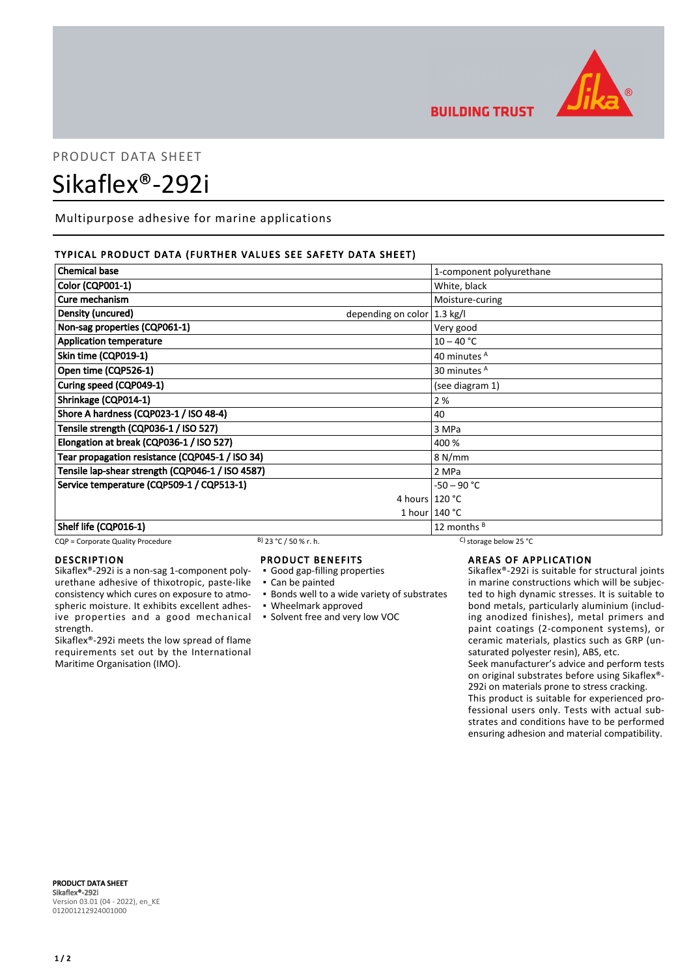

# **BUILDING TRUST**

# PRODUCT DATA SHEET Sikaflex®-292i

Multipurpose adhesive for marine applications

# TYPICAL PRODUCT DATA (FURTHER VALUES SEE SAFETY DATA SHEET)

| <b>Chemical base</b>                                        | 1-component polyurethane |
|-------------------------------------------------------------|--------------------------|
| <b>Color (CQP001-1)</b>                                     | White, black             |
| Cure mechanism                                              | Moisture-curing          |
| Density (uncured)<br>depending on color $ 1.3 \text{ kg}/I$ |                          |
| Non-sag properties (CQP061-1)                               | Very good                |
| <b>Application temperature</b>                              | $10 - 40 °C$             |
| Skin time (CQP019-1)                                        | 40 minutes A             |
| Open time (CQP526-1)                                        | 30 minutes <sup>A</sup>  |
| Curing speed (CQP049-1)                                     | (see diagram 1)          |
| Shrinkage (CQP014-1)                                        | 2%                       |
| Shore A hardness (CQP023-1 / ISO 48-4)                      | 40                       |
| Tensile strength (CQP036-1 / ISO 527)                       | 3 MPa                    |
| Elongation at break (CQP036-1 / ISO 527)                    | 400 %                    |
| Tear propagation resistance (CQP045-1 / ISO 34)             | 8 N/mm                   |
| Tensile lap-shear strength (CQP046-1 / ISO 4587)            | 2 MPa                    |
| Service temperature (CQP509-1 / CQP513-1)                   | $-50 - 90 °C$            |
|                                                             | 4 hours $120 °C$         |
|                                                             | 1 hour $140 °C$          |
| Shelf life (CQP016-1)                                       | 12 months $B$            |

# CQP = Corporate Quality Procedure B) 23 °C / 50 % r. h. C) storage below 25 °C

## DESCRIPTION

Sikaflex®-292i is a non-sag 1-component polyurethane adhesive of thixotropic, paste-like consistency which cures on exposure to atmospheric moisture. It exhibits excellent adhesive properties and a good mechanical strength.

Sikaflex®-292i meets the low spread of flame requirements set out by the International Maritime Organisation (IMO).

# PRODUCT BENEFITS

- Good gap-filling properties
- Can be painted
- **Bonds well to a wide variety of substrates**
- Wheelmark approved
- Solvent free and very low VOC

AREAS OF APPLICATION

Sikaflex®-292i is suitable for structural joints in marine constructions which will be subjected to high dynamic stresses. It is suitable to bond metals, particularly aluminium (including anodized finishes), metal primers and paint coatings (2-component systems), or ceramic materials, plastics such as GRP (unsaturated polyester resin), ABS, etc.

Seek manufacturer's advice and perform tests on original substrates before using Sikaflex®- 292i on materials prone to stress cracking.

This product is suitable for experienced professional users only. Tests with actual substrates and conditions have to be performed ensuring adhesion and material compatibility.